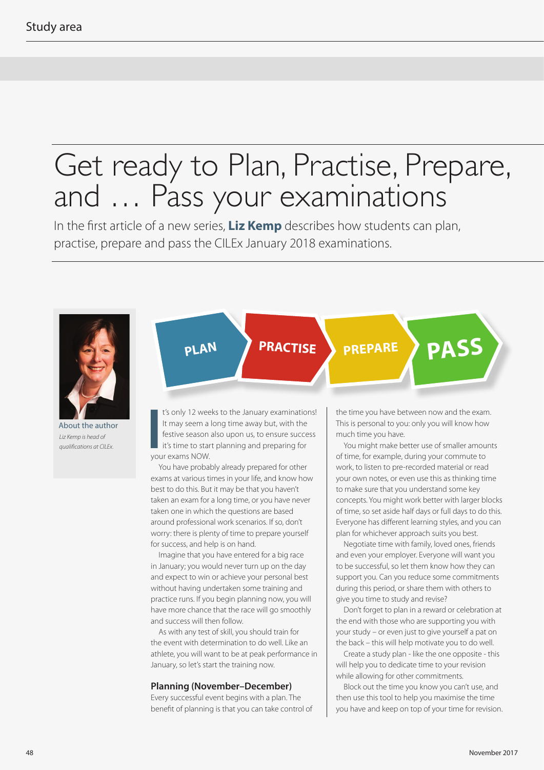## Get ready to Plan, Practise, Prepare, and … Pass your examinations

In the first article of a new series, **Liz Kemp** describes how students can plan, practise, prepare and pass the CILEx January 2018 examinations.



About the author *Liz Kemp is head of*  **About the author**<br>*Liz Kemp is head of*<br>*qualifications at CILEx.* you



**PRACTISE**

t's only 12 weeks to the January examinations! It may seem a long time away but, with the festive season also upon us, to ensure success it's time to start planning and preparing for your exams NOW.

You have probably already prepared for other exams at various times in your life, and know how best to do this. But it may be that you haven't taken an exam for a long time, or you have never taken one in which the questions are based around professional work scenarios. If so, don't worry: there is plenty of time to prepare yourself for success, and help is on hand.

Imagine that you have entered for a big race in January; you would never turn up on the day and expect to win or achieve your personal best without having undertaken some training and practice runs. If you begin planning now, you will have more chance that the race will go smoothly and success will then follow.

As with any test of skill, you should train for the event with determination to do well. Like an athlete, you will want to be at peak performance in January, so let's start the training now.

## **Planning (November–December)**

Every successful event begins with a plan. The benefit of planning is that you can take control of the time you have between now and the exam. This is personal to you: only you will know how much time you have.

**PREPARE PASS**

You might make better use of smaller amounts of time, for example, during your commute to work, to listen to pre-recorded material or read your own notes, or even use this as thinking time to make sure that you understand some key concepts. You might work better with larger blocks of time, so set aside half days or full days to do this. Everyone has different learning styles, and you can plan for whichever approach suits you best.

Negotiate time with family, loved ones, friends and even your employer. Everyone will want you to be successful, so let them know how they can support you. Can you reduce some commitments during this period, or share them with others to give you time to study and revise?

Don't forget to plan in a reward or celebration at the end with those who are supporting you with your study – or even just to give yourself a pat on the back – this will help motivate you to do well.

Create a study plan - like the one opposite - this will help you to dedicate time to your revision while allowing for other commitments.

Block out the time you know you can't use, and then use this tool to help you maximise the time you have and keep on top of your time for revision.